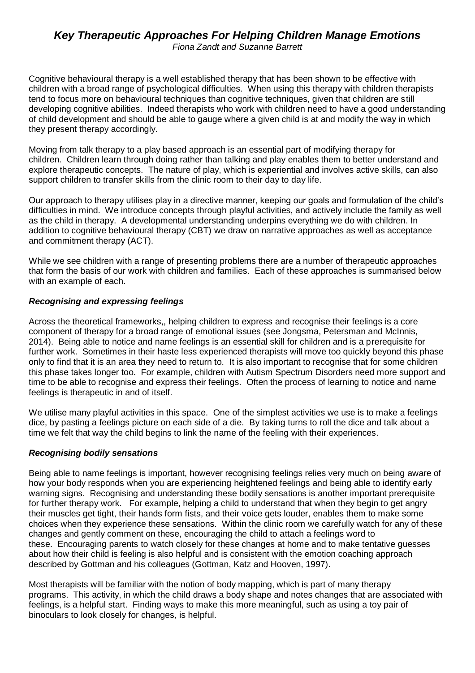# *Key Therapeutic Approaches For Helping Children Manage Emotions*

*Fiona Zandt and Suzanne Barrett*

Cognitive behavioural therapy is a well established therapy that has been shown to be effective with children with a broad range of psychological difficulties. When using this therapy with children therapists tend to focus more on behavioural techniques than cognitive techniques, given that children are still developing cognitive abilities. Indeed therapists who work with children need to have a good understanding of child development and should be able to gauge where a given child is at and modify the way in which they present therapy accordingly.

Moving from talk therapy to a play based approach is an essential part of modifying therapy for children. Children learn through doing rather than talking and play enables them to better understand and explore therapeutic concepts. The nature of play, which is experiential and involves active skills, can also support children to transfer skills from the clinic room to their day to day life.

Our approach to therapy utilises play in a directive manner, keeping our goals and formulation of the child's difficulties in mind. We introduce concepts through playful activities, and actively include the family as well as the child in therapy. A developmental understanding underpins everything we do with children. In addition to cognitive behavioural therapy (CBT) we draw on narrative approaches as well as acceptance and commitment therapy (ACT).

While we see children with a range of presenting problems there are a number of therapeutic approaches that form the basis of our work with children and families. Each of these approaches is summarised below with an example of each.

#### *Recognising and expressing feelings*

Across the theoretical frameworks,, helping children to express and recognise their feelings is a core component of therapy for a broad range of emotional issues (see Jongsma, Petersman and McInnis, 2014). Being able to notice and name feelings is an essential skill for children and is a prerequisite for further work. Sometimes in their haste less experienced therapists will move too quickly beyond this phase only to find that it is an area they need to return to. It is also important to recognise that for some children this phase takes longer too. For example, children with Autism Spectrum Disorders need more support and time to be able to recognise and express their feelings. Often the process of learning to notice and name feelings is therapeutic in and of itself.

We utilise many playful activities in this space. One of the simplest activities we use is to make a feelings dice, by pasting a feelings picture on each side of a die. By taking turns to roll the dice and talk about a time we felt that way the child begins to link the name of the feeling with their experiences.

#### *Recognising bodily sensations*

Being able to name feelings is important, however recognising feelings relies very much on being aware of how your body responds when you are experiencing heightened feelings and being able to identify early warning signs. Recognising and understanding these bodily sensations is another important prerequisite for further therapy work. For example, helping a child to understand that when they begin to get angry their muscles get tight, their hands form fists, and their voice gets louder, enables them to make some choices when they experience these sensations. Within the clinic room we carefully watch for any of these changes and gently comment on these, encouraging the child to attach a feelings word to these. Encouraging parents to watch closely for these changes at home and to make tentative guesses about how their child is feeling is also helpful and is consistent with the emotion coaching approach described by Gottman and his colleagues (Gottman, Katz and Hooven, 1997).

Most therapists will be familiar with the notion of body mapping, which is part of many therapy programs. This activity, in which the child draws a body shape and notes changes that are associated with feelings, is a helpful start. Finding ways to make this more meaningful, such as using a toy pair of binoculars to look closely for changes, is helpful.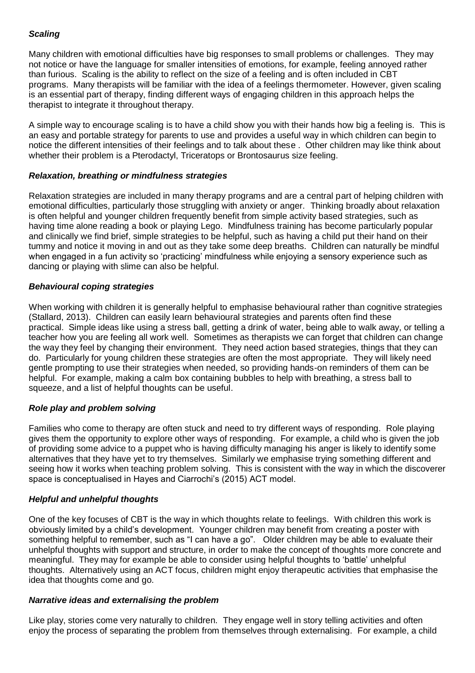# *Scaling*

Many children with emotional difficulties have big responses to small problems or challenges. They may not notice or have the language for smaller intensities of emotions, for example, feeling annoyed rather than furious. Scaling is the ability to reflect on the size of a feeling and is often included in CBT programs. Many therapists will be familiar with the idea of a feelings thermometer. However, given scaling is an essential part of therapy, finding different ways of engaging children in this approach helps the therapist to integrate it throughout therapy.

A simple way to encourage scaling is to have a child show you with their hands how big a feeling is. This is an easy and portable strategy for parents to use and provides a useful way in which children can begin to notice the different intensities of their feelings and to talk about these . Other children may like think about whether their problem is a Pterodactyl, Triceratops or Brontosaurus size feeling.

## *Relaxation, breathing or mindfulness strategies*

Relaxation strategies are included in many therapy programs and are a central part of helping children with emotional difficulties, particularly those struggling with anxiety or anger. Thinking broadly about relaxation is often helpful and younger children frequently benefit from simple activity based strategies, such as having time alone reading a book or playing Lego. Mindfulness training has become particularly popular and clinically we find brief, simple strategies to be helpful, such as having a child put their hand on their tummy and notice it moving in and out as they take some deep breaths. Children can naturally be mindful when engaged in a fun activity so 'practicing' mindfulness while enjoying a sensory experience such as dancing or playing with slime can also be helpful.

## *Behavioural coping strategies*

When working with children it is generally helpful to emphasise behavioural rather than cognitive strategies (Stallard, 2013). Children can easily learn behavioural strategies and parents often find these practical. Simple ideas like using a stress ball, getting a drink of water, being able to walk away, or telling a teacher how you are feeling all work well. Sometimes as therapists we can forget that children can change the way they feel by changing their environment. They need action based strategies, things that they can do. Particularly for young children these strategies are often the most appropriate. They will likely need gentle prompting to use their strategies when needed, so providing hands-on reminders of them can be helpful. For example, making a calm box containing bubbles to help with breathing, a stress ball to squeeze, and a list of helpful thoughts can be useful.

# *Role play and problem solving*

Families who come to therapy are often stuck and need to try different ways of responding. Role playing gives them the opportunity to explore other ways of responding. For example, a child who is given the job of providing some advice to a puppet who is having difficulty managing his anger is likely to identify some alternatives that they have yet to try themselves. Similarly we emphasise trying something different and seeing how it works when teaching problem solving. This is consistent with the way in which the discoverer space is conceptualised in Hayes and Ciarrochi's (2015) ACT model.

# *Helpful and unhelpful thoughts*

One of the key focuses of CBT is the way in which thoughts relate to feelings. With children this work is obviously limited by a child's development. Younger children may benefit from creating a poster with something helpful to remember, such as "I can have a go". Older children may be able to evaluate their unhelpful thoughts with support and structure, in order to make the concept of thoughts more concrete and meaningful. They may for example be able to consider using helpful thoughts to 'battle' unhelpful thoughts. Alternatively using an ACT focus, children might enjoy therapeutic activities that emphasise the idea that thoughts come and go.

# *Narrative ideas and externalising the problem*

Like play, stories come very naturally to children. They engage well in story telling activities and often enjoy the process of separating the problem from themselves through externalising. For example, a child